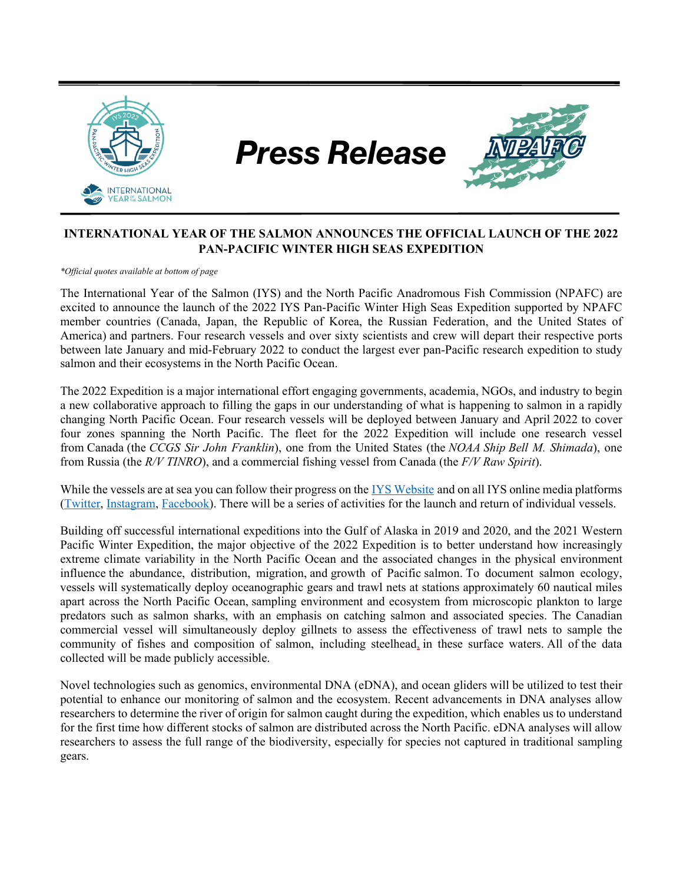

## **INTERNATIONAL YEAR OF THE SALMON ANNOUNCES THE OFFICIAL LAUNCH OF THE 2022 PAN-PACIFIC WINTER HIGH SEAS EXPEDITION**

*\*Official quotes available at bottom of page*

The International Year of the Salmon (IYS) and the North Pacific Anadromous Fish Commission (NPAFC) are excited to announce the launch of the 2022 IYS Pan-Pacific Winter High Seas Expedition supported by NPAFC member countries (Canada, Japan, the Republic of Korea, the Russian Federation, and the United States of America) and partners. Four research vessels and over sixty scientists and crew will depart their respective ports between late January and mid-February 2022 to conduct the largest ever pan-Pacific research expedition to study salmon and their ecosystems in the North Pacific Ocean.

The 2022 Expedition is a major international effort engaging governments, academia, NGOs, and industry to begin a new collaborative approach to filling the gaps in our understanding of what is happening to salmon in a rapidly changing North Pacific Ocean. Four research vessels will be deployed between January and April 2022 to cover four zones spanning the North Pacific. The fleet for the 2022 Expedition will include one research vessel from Canada (the *CCGS Sir John Franklin*), one from the United States (the *NOAA Ship Bell M. Shimada*), one from Russia (the *R/V TINRO*), and a commercial fishing vessel from Canada (the *F/V Raw Spirit*).

While the vessels are at sea you can follow their progress on the [IYS Website](https://yearofthesalmon.org/2022expedition/) and on all IYS online media platforms [\(Twitter,](https://twitter.com/yearofthesalmon) [Instagram,](https://www.instagram.com/internationalyearofthesalmon/) [Facebook\)](https://www.facebook.com/yearofthesalmon). There will be a series of activities for the launch and return of individual vessels.

Building off successful international expeditions into the Gulf of Alaska in 2019 and 2020, and the 2021 Western Pacific Winter Expedition, the major objective of the 2022 Expedition is to better understand how increasingly extreme climate variability in the North Pacific Ocean and the associated changes in the physical environment influence the abundance, distribution, migration, and growth of Pacific salmon. To document salmon ecology, vessels will systematically deploy oceanographic gears and trawl nets at stations approximately 60 nautical miles apart across the North Pacific Ocean, sampling environment and ecosystem from microscopic plankton to large predators such as salmon sharks, with an emphasis on catching salmon and associated species. The Canadian commercial vessel will simultaneously deploy gillnets to assess the effectiveness of trawl nets to sample the community of fishes and composition of salmon, including steelhead, in these surface waters. All of the data collected will be made publicly accessible.

Novel technologies such as genomics, environmental DNA (eDNA), and ocean gliders will be utilized to test their potential to enhance our monitoring of salmon and the ecosystem. Recent advancements in DNA analyses allow researchers to determine the river of origin for salmon caught during the expedition, which enables us to understand for the first time how different stocks of salmon are distributed across the North Pacific. eDNA analyses will allow researchers to assess the full range of the biodiversity, especially for species not captured in traditional sampling gears.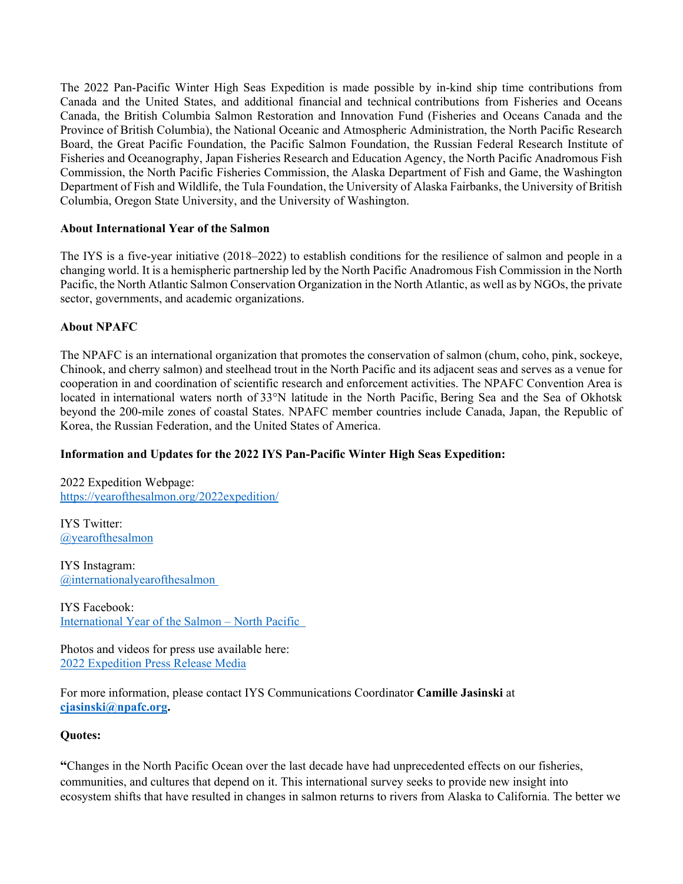The 2022 Pan-Pacific Winter High Seas Expedition is made possible by in-kind ship time contributions from Canada and the United States, and additional financial and technical contributions from Fisheries and Oceans Canada, the British Columbia Salmon Restoration and Innovation Fund (Fisheries and Oceans Canada and the Province of British Columbia), the National Oceanic and Atmospheric Administration, the North Pacific Research Board, the Great Pacific Foundation, the Pacific Salmon Foundation, the Russian Federal Research Institute of Fisheries and Oceanography, Japan Fisheries Research and Education Agency, the North Pacific Anadromous Fish Commission, the North Pacific Fisheries Commission, the Alaska Department of Fish and Game, the Washington Department of Fish and Wildlife, the Tula Foundation, the University of Alaska Fairbanks, the University of British Columbia, Oregon State University, and the University of Washington.

#### **About International Year of the Salmon**

The IYS is a five-year initiative (2018–2022) to establish conditions for the resilience of salmon and people in a changing world. It is a hemispheric partnership led by the North Pacific Anadromous Fish Commission in the North Pacific, the North Atlantic Salmon Conservation Organization in the North Atlantic, as well as by NGOs, the private sector, governments, and academic organizations.

#### **About NPAFC**

The NPAFC is an international organization that promotes the conservation of salmon (chum, coho, pink, sockeye, Chinook, and cherry salmon) and steelhead trout in the North Pacific and its adjacent seas and serves as a venue for cooperation in and coordination of scientific research and enforcement activities. The NPAFC Convention Area is located in international waters north of 33°N latitude in the North Pacific, Bering Sea and the Sea of Okhotsk beyond the 200-mile zones of coastal States. NPAFC member countries include Canada, Japan, the Republic of Korea, the Russian Federation, and the United States of America.

## **Information and Updates for the 2022 IYS Pan-Pacific Winter High Seas Expedition:**

2022 Expedition Webpage: <https://yearofthesalmon.org/2022expedition/>

IYS Twitter: [@yearofthesalmon](https://twitter.com/yearofthesalmon)

IYS Instagram: [@internationalyearofthesalmon](https://www.instagram.com/internationalyearofthesalmon/)

IYS Facebook: International Year [of the Salmon –](https://www.facebook.com/yearofthesalmon) North Pacific

Photos and videos for press use available here: [2022 Expedition Press Release Media](https://www.flickr.com/photos/145318619@N06/albums/72177720296104154)

For more information, please contact IYS Communications Coordinator **Camille Jasinski** at **[cjasinski@npafc.org.](mailto:cjasinski@npafc.org)**

#### **Quotes:**

**"**Changes in the North Pacific Ocean over the last decade have had unprecedented effects on our fisheries, communities, and cultures that depend on it. This international survey seeks to provide new insight into ecosystem shifts that have resulted in changes in salmon returns to rivers from Alaska to California. The better we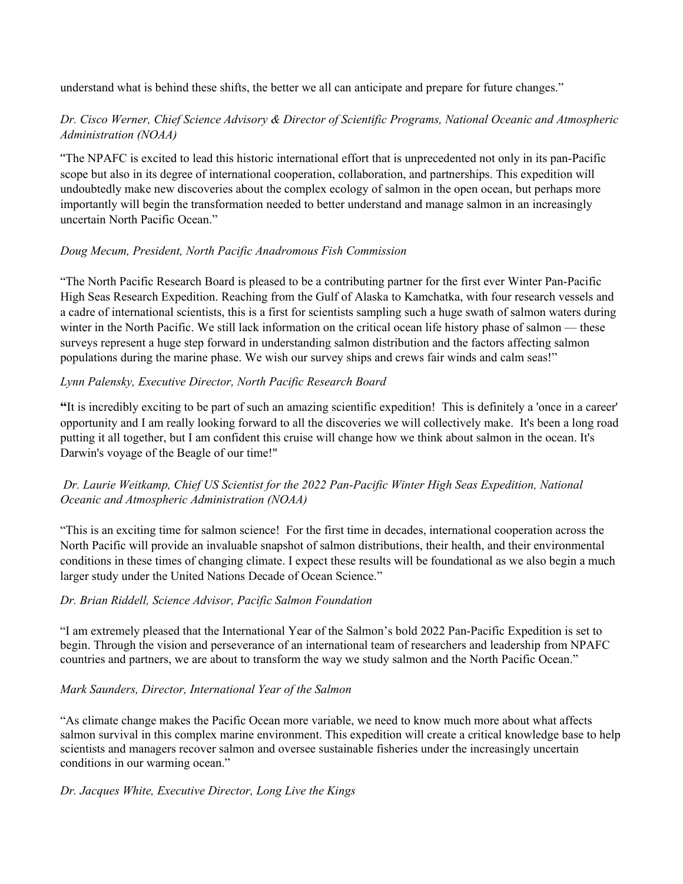understand what is behind these shifts, the better we all can anticipate and prepare for future changes."

## *Dr. Cisco Werner, Chief Science Advisory & Director of Scientific Programs, National Oceanic and Atmospheric Administration (NOAA)*

"The NPAFC is excited to lead this historic international effort that is unprecedented not only in its pan-Pacific scope but also in its degree of international cooperation, collaboration, and partnerships. This expedition will undoubtedly make new discoveries about the complex ecology of salmon in the open ocean, but perhaps more importantly will begin the transformation needed to better understand and manage salmon in an increasingly uncertain North Pacific Ocean."

# *Doug Mecum, President, North Pacific Anadromous Fish Commission*

"The North Pacific Research Board is pleased to be a contributing partner for the first ever Winter Pan-Pacific High Seas Research Expedition. Reaching from the Gulf of Alaska to Kamchatka, with four research vessels and a cadre of international scientists, this is a first for scientists sampling such a huge swath of salmon waters during winter in the North Pacific. We still lack information on the critical ocean life history phase of salmon — these surveys represent a huge step forward in understanding salmon distribution and the factors affecting salmon populations during the marine phase. We wish our survey ships and crews fair winds and calm seas!"

## *Lynn Palensky, Executive Director, North Pacific Research Board*

**"**It is incredibly exciting to be part of such an amazing scientific expedition! This is definitely a 'once in a career' opportunity and I am really looking forward to all the discoveries we will collectively make. It's been a long road putting it all together, but I am confident this cruise will change how we think about salmon in the ocean. It's Darwin's voyage of the Beagle of our time!"

# *Dr. Laurie Weitkamp, Chief US Scientist for the 2022 Pan-Pacific Winter High Seas Expedition, National Oceanic and Atmospheric Administration (NOAA)*

"This is an exciting time for salmon science! For the first time in decades, international cooperation across the North Pacific will provide an invaluable snapshot of salmon distributions, their health, and their environmental conditions in these times of changing climate. I expect these results will be foundational as we also begin a much larger study under the United Nations Decade of Ocean Science."

## *Dr. Brian Riddell, Science Advisor, Pacific Salmon Foundation*

"I am extremely pleased that the International Year of the Salmon's bold 2022 Pan-Pacific Expedition is set to begin. Through the vision and perseverance of an international team of researchers and leadership from NPAFC countries and partners, we are about to transform the way we study salmon and the North Pacific Ocean."

## *Mark Saunders, Director, International Year of the Salmon*

"As climate change makes the Pacific Ocean more variable, we need to know much more about what affects salmon survival in this complex marine environment. This expedition will create a critical knowledge base to help scientists and managers recover salmon and oversee sustainable fisheries under the increasingly uncertain conditions in our warming ocean."

## *Dr. Jacques White, Executive Director, Long Live the Kings*